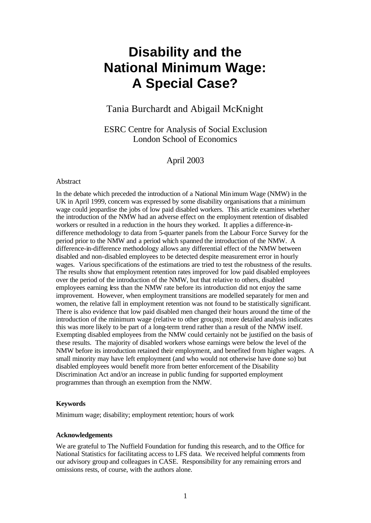# **Disability and the National Minimum Wage: A Special Case?**

## Tania Burchardt and Abigail McKnight

ESRC Centre for Analysis of Social Exclusion London School of Economics

April 2003

## Abstract

In the debate which preceded the introduction of a National Minimum Wage (NMW) in the UK in April 1999, concern was expressed by some disability organisations that a minimum wage could jeopardise the jobs of low paid disabled workers. This article examines whether the introduction of the NMW had an adverse effect on the employment retention of disabled workers or resulted in a reduction in the hours they worked. It applies a difference-indifference methodology to data from 5-quarter panels from the Labour Force Survey for the period prior to the NMW and a period which spanned the introduction of the NMW. A difference-in-difference methodology allows any differential effect of the NMW between disabled and non-disabled employees to be detected despite measurement error in hourly wages. Various specifications of the estimations are tried to test the robustness of the results. The results show that employment retention rates improved for low paid disabled employees over the period of the introduction of the NMW, but that relative to others, disabled employees earning less than the NMW rate before its introduction did not enjoy the same improvement. However, when employment transitions are modelled separately for men and women, the relative fall in employment retention was not found to be statistically significant. There is also evidence that low paid disabled men changed their hours around the time of the introduction of the minimum wage (relative to other groups); more detailed analysis indicates this was more likely to be part of a long-term trend rather than a result of the NMW itself. Exempting disabled employees from the NMW could certainly not be justified on the basis of these results. The majority of disabled workers whose earnings were below the level of the NMW before its introduction retained their employment, and benefited from higher wages. A small minority may have left employment (and who would not otherwise have done so) but disabled employees would benefit more from better enforcement of the Disability Discrimination Act and/or an increase in public funding for supported employment programmes than through an exemption from the NMW.

## **Keywords**

Minimum wage; disability; employment retention; hours of work

## **Acknowledgements**

We are grateful to The Nuffield Foundation for funding this research, and to the Office for National Statistics for facilitating access to LFS data. We received helpful comments from our advisory group and colleagues in CASE. Responsibility for any remaining errors and omissions rests, of course, with the authors alone.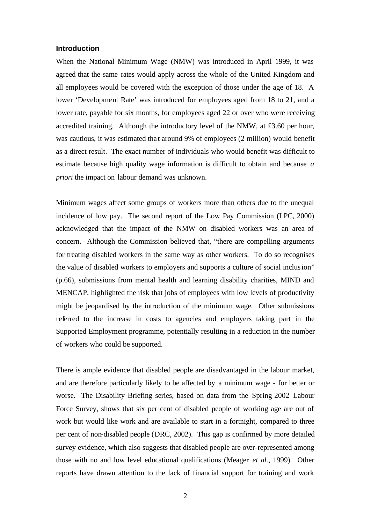## **Introduction**

When the National Minimum Wage (NMW) was introduced in April 1999, it was agreed that the same rates would apply across the whole of the United Kingdom and all employees would be covered with the exception of those under the age of 18. A lower 'Development Rate' was introduced for employees aged from 18 to 21, and a lower rate, payable for six months, for employees aged 22 or over who were receiving accredited training. Although the introductory level of the NMW, at £3.60 per hour, was cautious, it was estimated that around 9% of employees (2 million) would benefit as a direct result. The exact number of individuals who would benefit was difficult to estimate because high quality wage information is difficult to obtain and because *a priori* the impact on labour demand was unknown.

Minimum wages affect some groups of workers more than others due to the unequal incidence of low pay. The second report of the Low Pay Commission (LPC, 2000) acknowledged that the impact of the NMW on disabled workers was an area of concern. Although the Commission believed that, "there are compelling arguments for treating disabled workers in the same way as other workers. To do so recognises the value of disabled workers to employers and supports a culture of social inclusion" (p.66), submissions from mental health and learning disability charities, MIND and MENCAP, highlighted the risk that jobs of employees with low levels of productivity might be jeopardised by the introduction of the minimum wage. Other submissions referred to the increase in costs to agencies and employers taking part in the Supported Employment programme, potentially resulting in a reduction in the number of workers who could be supported.

There is ample evidence that disabled people are disadvantaged in the labour market, and are therefore particularly likely to be affected by a minimum wage - for better or worse. The Disability Briefing series, based on data from the Spring 2002 Labour Force Survey, shows that six per cent of disabled people of working age are out of work but would like work and are available to start in a fortnight, compared to three per cent of non-disabled people (DRC, 2002). This gap is confirmed by more detailed survey evidence, which also suggests that disabled people are over-represented among those with no and low level educational qualifications (Meager *et al.,* 1999). Other reports have drawn attention to the lack of financial support for training and work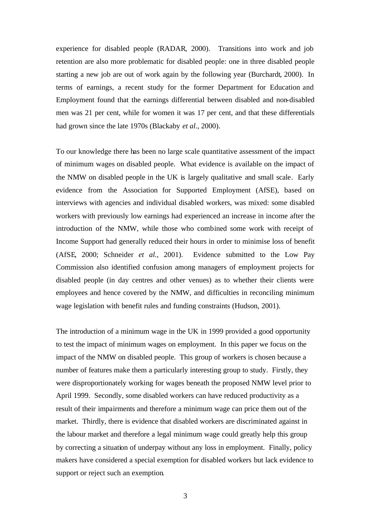experience for disabled people (RADAR, 2000). Transitions into work and job retention are also more problematic for disabled people: one in three disabled people starting a new job are out of work again by the following year (Burchardt, 2000). In terms of earnings, a recent study for the former Department for Education and Employment found that the earnings differential between disabled and non-disabled men was 21 per cent, while for women it was 17 per cent, and that these differentials had grown since the late 1970s (Blackaby *et al.,* 2000).

To our knowledge there has been no large scale quantitative assessment of the impact of minimum wages on disabled people. What evidence is available on the impact of the NMW on disabled people in the UK is largely qualitative and small scale. Early evidence from the Association for Supported Employment (AfSE), based on interviews with agencies and individual disabled workers, was mixed: some disabled workers with previously low earnings had experienced an increase in income after the introduction of the NMW, while those who combined some work with receipt of Income Support had generally reduced their hours in order to minimise loss of benefit (AfSE, 2000; Schneider *et al.*, 2001). Evidence submitted to the Low Pay Commission also identified confusion among managers of employment projects for disabled people (in day centres and other venues) as to whether their clients were employees and hence covered by the NMW, and difficulties in reconciling minimum wage legislation with benefit rules and funding constraints (Hudson, 2001).

The introduction of a minimum wage in the UK in 1999 provided a good opportunity to test the impact of minimum wages on employment. In this paper we focus on the impact of the NMW on disabled people. This group of workers is chosen because a number of features make them a particularly interesting group to study. Firstly, they were disproportionately working for wages beneath the proposed NMW level prior to April 1999. Secondly, some disabled workers can have reduced productivity as a result of their impairments and therefore a minimum wage can price them out of the market. Thirdly, there is evidence that disabled workers are discriminated against in the labour market and therefore a legal minimum wage could greatly help this group by correcting a situation of underpay without any loss in employment. Finally, policy makers have considered a special exemption for disabled workers but lack evidence to support or reject such an exemption.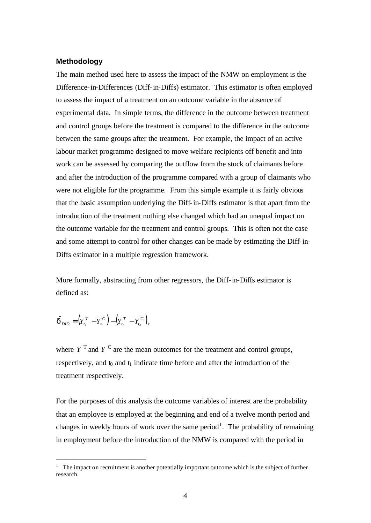## **Methodology**

The main method used here to assess the impact of the NMW on employment is the Difference-in-Differences (Diff-in-Diffs) estimator. This estimator is often employed to assess the impact of a treatment on an outcome variable in the absence of experimental data. In simple terms, the difference in the outcome between treatment and control groups before the treatment is compared to the difference in the outcome between the same groups after the treatment. For example, the impact of an active labour market programme designed to move welfare recipients off benefit and into work can be assessed by comparing the outflow from the stock of claimants before and after the introduction of the programme compared with a group of claimants who were not eligible for the programme. From this simple example it is fairly obvious that the basic assumption underlying the Diff-in-Diffs estimator is that apart from the introduction of the treatment nothing else changed which had an unequal impact on the outcome variable for the treatment and control groups. This is often not the case and some attempt to control for other changes can be made by estimating the Diff-in-Diffs estimator in a multiple regression framework.

More formally, abstracting from other regressors, the Diff-in-Diffs estimator is defined as:

$$
\hat{\boldsymbol{d}}_{DID} = (\overline{Y}_{t_1}^T - \overline{Y}_{t_1}^C) - (\overline{Y}_{t_0}^T - \overline{Y}_{t_0}^C),
$$

l

where  $\overline{Y}^T$  and  $\overline{Y}^C$  are the mean outcomes for the treatment and control groups, respectively, and  $t_0$  and  $t_1$  indicate time before and after the introduction of the treatment respectively.

For the purposes of this analysis the outcome variables of interest are the probability that an employee is employed at the beginning and end of a twelve month period and changes in weekly hours of work over the same period<sup>1</sup>. The probability of remaining in employment before the introduction of the NMW is compared with the period in

 $1$  The impact on recruitment is another potentially important outcome which is the subject of further research.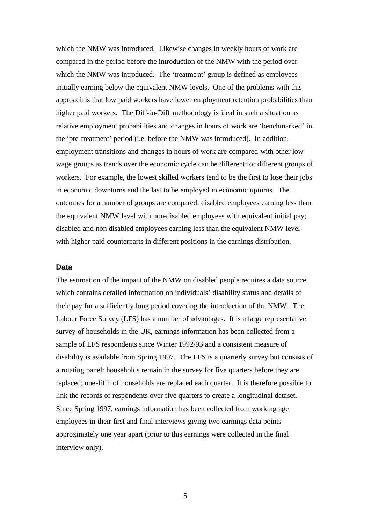which the NMW was introduced. Likewise changes in weekly hours of work are compared in the period before the introduction of the NMW with the period over which the NMW was introduced. The 'treatment' group is defined as employees initially earning below the equivalent NMW levels. One of the problems with this approach is that low paid workers have lower employment retention probabilities than higher paid workers. The Diff-in-Diff methodology is ideal in such a situation as relative employment probabilities and changes in hours of work are 'benchmarked' in the 'pre-treatment' period (i.e. before the NMW was introduced). In addition, employment transitions and changes in hours of work are compared with other low wage groups as trends over the economic cycle can be different for different groups of workers. For example, the lowest skilled workers tend to be the first to lose their jobs in economic downturns and the last to be employed in economic upturns. The outcomes for a number of groups are compared: disabled employees earning less than the equivalent NMW level with non-disabled employees with equivalent initial pay; disabled and non-disabled employees earning less than the equivalent NMW level with higher paid counterparts in different positions in the earnings distribution.

#### **Data**

The estimation of the impact of the NMW on disabled people requires a data source which contains detailed information on individuals' disability status and details of their pay for a sufficiently long period covering the introduction of the NMW. The Labour Force Survey (LFS) has a number of advantages. It is a large representative survey of households in the UK, earnings information has been collected from a sample of LFS respondents since Winter 1992/93 and a consistent measure of disability is available from Spring 1997. The LFS is a quarterly survey but consists of a rotating panel: households remain in the survey for five quarters before they are replaced; one-fifth of households are replaced each quarter. It is therefore possible to link the records of respondents over five quarters to create a longitudinal dataset. Since Spring 1997, earnings information has been collected from working age employees in their first and final interviews giving two earnings data points approximately one year apart (prior to this earnings were collected in the final interview only).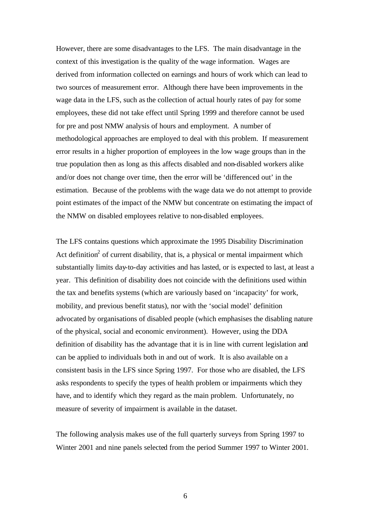However, there are some disadvantages to the LFS. The main disadvantage in the context of this investigation is the quality of the wage information. Wages are derived from information collected on earnings and hours of work which can lead to two sources of measurement error. Although there have been improvements in the wage data in the LFS, such as the collection of actual hourly rates of pay for some employees, these did not take effect until Spring 1999 and therefore cannot be used for pre and post NMW analysis of hours and employment. A number of methodological approaches are employed to deal with this problem. If measurement error results in a higher proportion of employees in the low wage groups than in the true population then as long as this affects disabled and non-disabled workers alike and/or does not change over time, then the error will be 'differenced out' in the estimation. Because of the problems with the wage data we do not attempt to provide point estimates of the impact of the NMW but concentrate on estimating the impact of the NMW on disabled employees relative to non-disabled employees.

The LFS contains questions which approximate the 1995 Disability Discrimination Act definition<sup>2</sup> of current disability, that is, a physical or mental impairment which substantially limits day-to-day activities and has lasted, or is expected to last, at least a year. This definition of disability does not coincide with the definitions used within the tax and benefits systems (which are variously based on 'incapacity' for work, mobility, and previous benefit status), nor with the 'social model' definition advocated by organisations of disabled people (which emphasises the disabling nature of the physical, social and economic environment). However, using the DDA definition of disability has the advantage that it is in line with current legislation and can be applied to individuals both in and out of work. It is also available on a consistent basis in the LFS since Spring 1997. For those who are disabled, the LFS asks respondents to specify the types of health problem or impairments which they have, and to identify which they regard as the main problem. Unfortunately, no measure of severity of impairment is available in the dataset.

The following analysis makes use of the full quarterly surveys from Spring 1997 to Winter 2001 and nine panels selected from the period Summer 1997 to Winter 2001.

6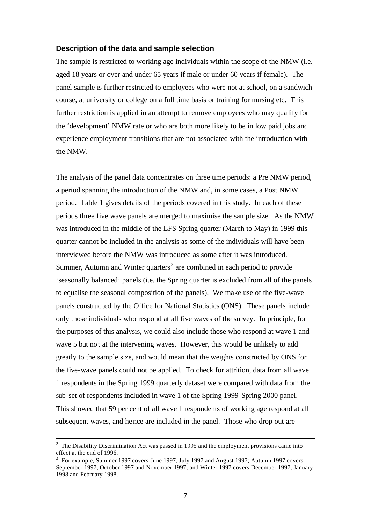### **Description of the data and sample selection**

The sample is restricted to working age individuals within the scope of the NMW (i.e. aged 18 years or over and under 65 years if male or under 60 years if female). The panel sample is further restricted to employees who were not at school, on a sandwich course, at university or college on a full time basis or training for nursing etc. This further restriction is applied in an attempt to remove employees who may qua lify for the 'development' NMW rate or who are both more likely to be in low paid jobs and experience employment transitions that are not associated with the introduction with the NMW.

The analysis of the panel data concentrates on three time periods: a Pre NMW period, a period spanning the introduction of the NMW and, in some cases, a Post NMW period. Table 1 gives details of the periods covered in this study. In each of these periods three five wave panels are merged to maximise the sample size. As the NMW was introduced in the middle of the LFS Spring quarter (March to May) in 1999 this quarter cannot be included in the analysis as some of the individuals will have been interviewed before the NMW was introduced as some after it was introduced. Summer, Autumn and Winter quarters<sup>3</sup> are combined in each period to provide 'seasonally balanced' panels (i.e. the Spring quarter is excluded from all of the panels to equalise the seasonal composition of the panels). We make use of the five-wave panels construc ted by the Office for National Statistics (ONS). These panels include only those individuals who respond at all five waves of the survey. In principle, for the purposes of this analysis, we could also include those who respond at wave 1 and wave 5 but not at the intervening waves. However, this would be unlikely to add greatly to the sample size, and would mean that the weights constructed by ONS for the five-wave panels could not be applied. To check for attrition, data from all wave 1 respondents in the Spring 1999 quarterly dataset were compared with data from the sub-set of respondents included in wave 1 of the Spring 1999-Spring 2000 panel. This showed that 59 per cent of all wave 1 respondents of working age respond at all subsequent waves, and hence are included in the panel. Those who drop out are

l

 $2$  The Disability Discrimination Act was passed in 1995 and the employment provisions came into effect at the end of 1996.

 $3$  For example, Summer 1997 covers June 1997, July 1997 and August 1997; Autumn 1997 covers September 1997, October 1997 and November 1997; and Winter 1997 covers December 1997, January 1998 and February 1998.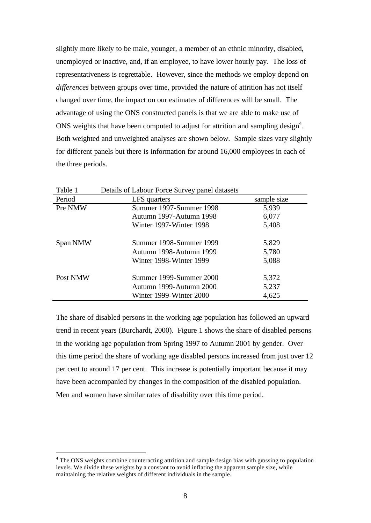slightly more likely to be male, younger, a member of an ethnic minority, disabled, unemployed or inactive, and, if an employee, to have lower hourly pay. The loss of representativeness is regrettable. However, since the methods we employ depend on *differences* between groups over time, provided the nature of attrition has not itself changed over time, the impact on our estimates of differences will be small. The advantage of using the ONS constructed panels is that we are able to make use of ONS weights that have been computed to adjust for attrition and sampling design<sup>4</sup>. Both weighted and unweighted analyses are shown below. Sample sizes vary slightly for different panels but there is information for around 16,000 employees in each of the three periods.

| Table 1  | Details of Labour Force Survey panel datasets |             |
|----------|-----------------------------------------------|-------------|
| Period   | LFS quarters                                  | sample size |
| Pre NMW  | Summer 1997-Summer 1998                       | 5,939       |
|          | Autumn 1997-Autumn 1998                       | 6,077       |
|          | Winter 1997-Winter 1998                       | 5,408       |
| Span NMW | Summer 1998-Summer 1999                       | 5,829       |
|          | Autumn 1998-Autumn 1999                       | 5,780       |
|          | Winter 1998-Winter 1999                       | 5,088       |
| Post NMW | Summer 1999-Summer 2000                       | 5,372       |
|          | Autumn 1999-Autumn 2000                       | 5,237       |
|          | Winter 1999-Winter 2000                       | 4,625       |

The share of disabled persons in the working age population has followed an upward trend in recent years (Burchardt, 2000). Figure 1 shows the share of disabled persons in the working age population from Spring 1997 to Autumn 2001 by gender. Over this time period the share of working age disabled persons increased from just over 12 per cent to around 17 per cent. This increase is potentially important because it may have been accompanied by changes in the composition of the disabled population. Men and women have similar rates of disability over this time period.

l

<sup>&</sup>lt;sup>4</sup> The ONS weights combine counteracting attrition and sample design bias with grossing to population levels. We divide these weights by a constant to avoid inflating the apparent sample size, while maintaining the relative weights of different individuals in the sample.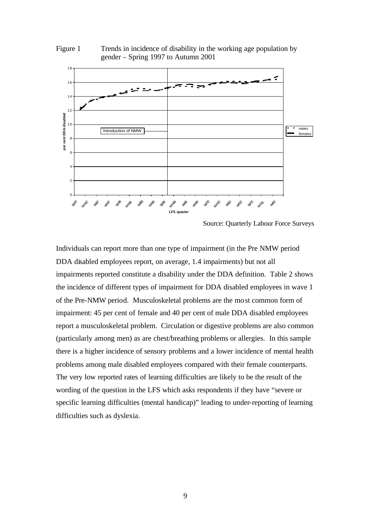

**LFS quarter**

 $\Omega$ 

sp<sup>07</sup> sum 1 and wan 1 sp<sup>08</sup> sheep aut win<sup>08</sup> sp<sup>09</sup> sum ago wing ago

2

4

6

Figure 1 Trends in incidence of disability in the working age population by

Source: Quarterly Labour Force Surveys

sum<br>1 **RE** 

sn<sup>0</sup> an in<sup>0</sup> an

Individuals can report more than one type of impairment (in the Pre NMW period DDA disabled employees report, on average, 1.4 impairments) but not all impairments reported constitute a disability under the DDA definition. Table 2 shows the incidence of different types of impairment for DDA disabled employees in wave 1 of the Pre-NMW period. Musculoskeletal problems are the most common form of impairment: 45 per cent of female and 40 per cent of male DDA disabled employees report a musculoskeletal problem. Circulation or digestive problems are also common (particularly among men) as are chest/breathing problems or allergies. In this sample there is a higher incidence of sensory problems and a lower incidence of mental health problems among male disabled employees compared with their female counterparts. The very low reported rates of learning difficulties are likely to be the result of the wording of the question in the LFS which asks respondents if they have "severe or specific learning difficulties (mental handicap)" leading to under-reporting of learning difficulties such as dyslexia.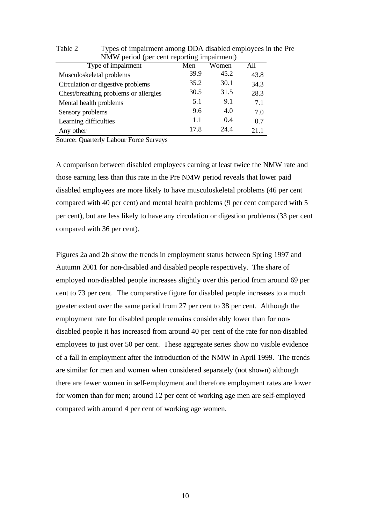| <b>NVIW period (per cent reporting impairment)</b> |      |       |      |  |  |  |  |
|----------------------------------------------------|------|-------|------|--|--|--|--|
| Type of impairment                                 | Men  | Women | All  |  |  |  |  |
| Musculoskeletal problems                           | 39.9 | 45.2  | 43.8 |  |  |  |  |
| Circulation or digestive problems                  | 35.2 | 30.1  | 34.3 |  |  |  |  |
| Chest/breathing problems or allergies              | 30.5 | 31.5  | 28.3 |  |  |  |  |
| Mental health problems                             | 5.1  | 9.1   | 7.1  |  |  |  |  |
| Sensory problems                                   | 9.6  | 4.0   | 7.0  |  |  |  |  |
| Learning difficulties                              | 1.1  | 0.4   | 0.7  |  |  |  |  |
| Any other                                          | 17.8 | 244   | 21.1 |  |  |  |  |

Table 2 Types of impairment among DDA disabled employees in the Pre NMW period (per cent reporting impairment)

Source: Quarterly Labour Force Surveys

A comparison between disabled employees earning at least twice the NMW rate and those earning less than this rate in the Pre NMW period reveals that lower paid disabled employees are more likely to have musculoskeletal problems (46 per cent compared with 40 per cent) and mental health problems (9 per cent compared with 5 per cent), but are less likely to have any circulation or digestion problems (33 per cent compared with 36 per cent).

Figures 2a and 2b show the trends in employment status between Spring 1997 and Autumn 2001 for non-disabled and disabled people respectively. The share of employed non-disabled people increases slightly over this period from around 69 per cent to 73 per cent. The comparative figure for disabled people increases to a much greater extent over the same period from 27 per cent to 38 per cent. Although the employment rate for disabled people remains considerably lower than for nondisabled people it has increased from around 40 per cent of the rate for non-disabled employees to just over 50 per cent. These aggregate series show no visible evidence of a fall in employment after the introduction of the NMW in April 1999. The trends are similar for men and women when considered separately (not shown) although there are fewer women in self-employment and therefore employment rates are lower for women than for men; around 12 per cent of working age men are self-employed compared with around 4 per cent of working age women.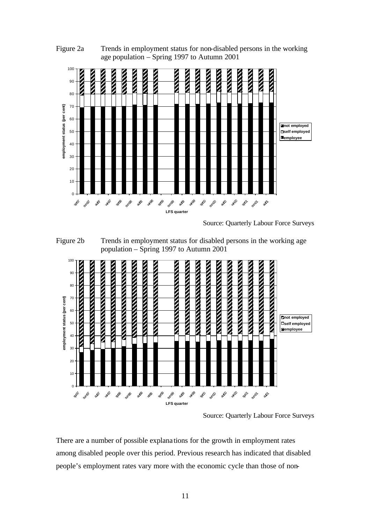

Figure 2a Trends in employment status for non-disabled persons in the working age population – Spring 1997 to Autumn 2001

Source: Quarterly Labour Force Surveys

Figure 2b Trends in employment status for disabled persons in the working age population – Spring 1997 to Autumn 2001



Source: Quarterly Labour Force Surveys

There are a number of possible explana tions for the growth in employment rates among disabled people over this period. Previous research has indicated that disabled people's employment rates vary more with the economic cycle than those of non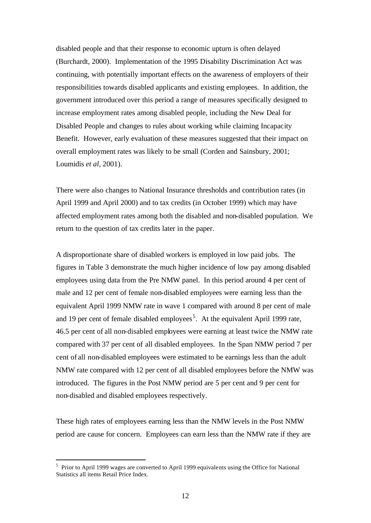disabled people and that their response to economic upturn is often delayed (Burchardt, 2000). Implementation of the 1995 Disability Discrimination Act was continuing, with potentially important effects on the awareness of employers of their responsibilities towards disabled applicants and existing employees. In addition, the government introduced over this period a range of measures specifically designed to increase employment rates among disabled people, including the New Deal for Disabled People and changes to rules about working while claiming Incapacity Benefit. However, early evaluation of these measures suggested that their impact on overall employment rates was likely to be small (Corden and Sainsbury, 2001; Loumidis *et al,* 2001).

There were also changes to National Insurance thresholds and contribution rates (in April 1999 and April 2000) and to tax credits (in October 1999) which may have affected employment rates among both the disabled and non-disabled population. We return to the question of tax credits later in the paper.

A disproportionate share of disabled workers is employed in low paid jobs. The figures in Table 3 demonstrate the much higher incidence of low pay among disabled employees using data from the Pre NMW panel. In this period around 4 per cent of male and 12 per cent of female non-disabled employees were earning less than the equivalent April 1999 NMW rate in wave 1 compared with around 8 per cent of male and 19 per cent of female disabled employees<sup>5</sup>. At the equivalent April 1999 rate, 46.5 per cent of all non-disabled employees were earning at least twice the NMW rate compared with 37 per cent of all disabled employees. In the Span NMW period 7 per cent of all non-disabled employees were estimated to be earnings less than the adult NMW rate compared with 12 per cent of all disabled employees before the NMW was introduced. The figures in the Post NMW period are 5 per cent and 9 per cent for non-disabled and disabled employees respectively.

These high rates of employees earning less than the NMW levels in the Post NMW period are cause for concern. Employees can earn less than the NMW rate if they are

l

<sup>&</sup>lt;sup>5</sup> Prior to April 1999 wages are converted to April 1999 equivalents using the Office for National Statistics all items Retail Price Index.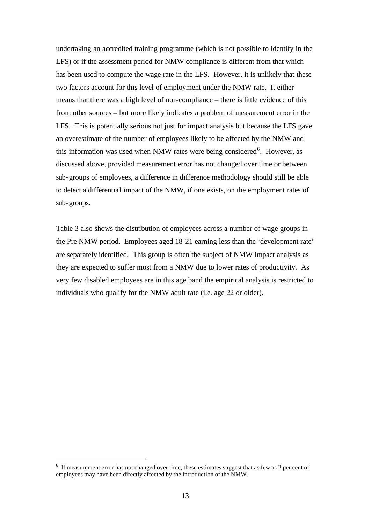undertaking an accredited training programme (which is not possible to identify in the LFS) or if the assessment period for NMW compliance is different from that which has been used to compute the wage rate in the LFS. However, it is unlikely that these two factors account for this level of employment under the NMW rate. It either means that there was a high level of non-compliance – there is little evidence of this from other sources – but more likely indicates a problem of measurement error in the LFS. This is potentially serious not just for impact analysis but because the LFS gave an overestimate of the number of employees likely to be affected by the NMW and this information was used when NMW rates were being considered<sup>6</sup>. However, as discussed above, provided measurement error has not changed over time or between sub-groups of employees, a difference in difference methodology should still be able to detect a differentia l impact of the NMW, if one exists, on the employment rates of sub-groups.

Table 3 also shows the distribution of employees across a number of wage groups in the Pre NMW period. Employees aged 18-21 earning less than the 'development rate' are separately identified. This group is often the subject of NMW impact analysis as they are expected to suffer most from a NMW due to lower rates of productivity. As very few disabled employees are in this age band the empirical analysis is restricted to individuals who qualify for the NMW adult rate (i.e. age 22 or older).

l

 $6\,$  If measurement error has not changed over time, these estimates suggest that as few as 2 per cent of employees may have been directly affected by the introduction of the NMW.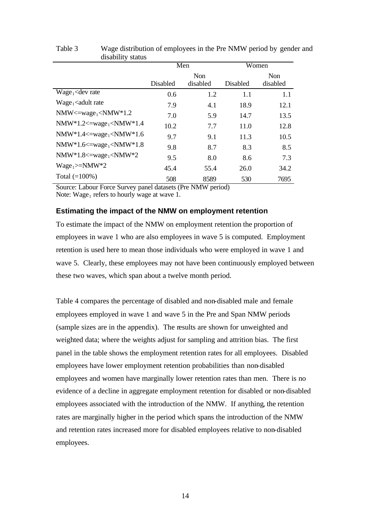|                                                                                                                                                                                                                                                                    |          | Men        | Women    |          |  |
|--------------------------------------------------------------------------------------------------------------------------------------------------------------------------------------------------------------------------------------------------------------------|----------|------------|----------|----------|--|
|                                                                                                                                                                                                                                                                    |          | <b>Non</b> |          |          |  |
|                                                                                                                                                                                                                                                                    | Disabled | disabled   | Disabled | disabled |  |
| $Wage_1$ <dev rate<="" td=""><td>0.6</td><td>1.2</td><td>1.1</td><td>1.1</td></dev>                                                                                                                                                                                | 0.6      | 1.2        | 1.1      | 1.1      |  |
| Wage <sub>1</sub> <adult rate<="" td=""><td>7.9</td><td>4.1</td><td>18.9</td><td>12.1</td></adult>                                                                                                                                                                 | 7.9      | 4.1        | 18.9     | 12.1     |  |
| $NMW \leq wave_1 \leq NMW^*1.2$                                                                                                                                                                                                                                    | 7.0      | 5.9        | 14.7     | 13.5     |  |
| NMW*1.2<=wage <sub>1</sub> <nmw*1.4< td=""><td>10.2</td><td>7.7</td><td>11.0</td><td>12.8</td></nmw*1.4<>                                                                                                                                                          | 10.2     | 7.7        | 11.0     | 12.8     |  |
| NMW*1.4 $\leq$ $\leq$ $\leq$ $\leq$ $\leq$ $\leq$ $\leq$ $\leq$ $\leq$ $\leq$ $\leq$ $\leq$ $\leq$ $\leq$ $\leq$ $\leq$ $\leq$ $\leq$ $\leq$ $\leq$ $\leq$ $\leq$ $\leq$ $\leq$ $\leq$ $\leq$ $\leq$ $\leq$ $\leq$ $\leq$ $\leq$ $\leq$ $\leq$ $\leq$ $\leq$ $\le$ | 9.7      | 9.1        | 11.3     | 10.5     |  |
| NMW*1.6 $\leq$ $\leq$ $\leq$ $\leq$ $\leq$ $\leq$ $\leq$ $\leq$ $\leq$ $\leq$ $\leq$ $\leq$ $\leq$ $\leq$ $\leq$ $\leq$ $\leq$ $\leq$ $\leq$ $\leq$ $\leq$ $\leq$ $\leq$ $\leq$ $\leq$ $\leq$ $\leq$ $\leq$ $\leq$ $\leq$ $\leq$ $\leq$ $\leq$ $\leq$ $\leq$ $\le$ | 9.8      | 8.7        | 8.3      | 8.5      |  |
| $NMW*1.8 \leq wave_1 \leq NMW*2$                                                                                                                                                                                                                                   | 9.5      | 8.0        | 8.6      | 7.3      |  |
| $Wage_1>=NMW*2$                                                                                                                                                                                                                                                    | 45.4     | 55.4       | 26.0     | 34.2     |  |
| Total $(=100\%)$                                                                                                                                                                                                                                                   | 508      | 8589       | 530      | 7695     |  |

Table 3 Wage distribution of employees in the Pre NMW period by gender and disability status

Source: Labour Force Survey panel datasets (Pre NMW period) Note: Wage<sub>1</sub> refers to hourly wage at wave 1.

## **Estimating the impact of the NMW on employment retention**

To estimate the impact of the NMW on employment retention the proportion of employees in wave 1 who are also employees in wave 5 is computed. Employment retention is used here to mean those individuals who were employed in wave 1 and wave 5. Clearly, these employees may not have been continuously employed between these two waves, which span about a twelve month period.

Table 4 compares the percentage of disabled and non-disabled male and female employees employed in wave 1 and wave 5 in the Pre and Span NMW periods (sample sizes are in the appendix). The results are shown for unweighted and weighted data; where the weights adjust for sampling and attrition bias. The first panel in the table shows the employment retention rates for all employees. Disabled employees have lower employment retention probabilities than non-disabled employees and women have marginally lower retention rates than men. There is no evidence of a decline in aggregate employment retention for disabled or non-disabled employees associated with the introduction of the NMW. If anything, the retention rates are marginally higher in the period which spans the introduction of the NMW and retention rates increased more for disabled employees relative to non-disabled employees.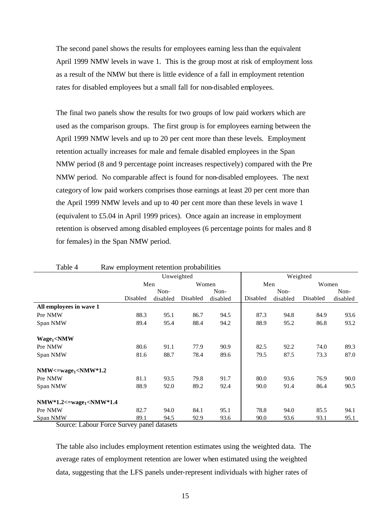The second panel shows the results for employees earning less than the equivalent April 1999 NMW levels in wave 1. This is the group most at risk of employment loss as a result of the NMW but there is little evidence of a fall in employment retention rates for disabled employees but a small fall for non-disabled employees.

The final two panels show the results for two groups of low paid workers which are used as the comparison groups. The first group is for employees earning between the April 1999 NMW levels and up to 20 per cent more than these levels. Employment retention actually increases for male and female disabled employees in the Span NMW period (8 and 9 percentage point increases respectively) compared with the Pre NMW period. No comparable affect is found for non-disabled employees. The next category of low paid workers comprises those earnings at least 20 per cent more than the April 1999 NMW levels and up to 40 per cent more than these levels in wave 1 (equivalent to £5.04 in April 1999 prices). Once again an increase in employment retention is observed among disabled employees (6 percentage points for males and 8 for females) in the Span NMW period.

| Table 4                                                                                                       | Raw employment retention probabilities |            |          |          |          |          |          |          |
|---------------------------------------------------------------------------------------------------------------|----------------------------------------|------------|----------|----------|----------|----------|----------|----------|
|                                                                                                               |                                        | Unweighted |          |          |          |          | Weighted |          |
|                                                                                                               | Men                                    |            | Women    |          | Men      |          | Women    |          |
|                                                                                                               |                                        | Non-       |          | Non-     |          | Non-     |          | Non-     |
|                                                                                                               | Disabled                               | disabled   | Disabled | disabled | Disabled | disabled | Disabled | disabled |
| All employees in wave 1                                                                                       |                                        |            |          |          |          |          |          |          |
| Pre NMW                                                                                                       | 88.3                                   | 95.1       | 86.7     | 94.5     | 87.3     | 94.8     | 84.9     | 93.6     |
| Span NMW                                                                                                      | 89.4                                   | 95.4       | 88.4     | 94.2     | 88.9     | 95.2     | 86.8     | 93.2     |
|                                                                                                               |                                        |            |          |          |          |          |          |          |
| Wage <sub>1</sub> <nmw< td=""><td></td><td></td><td></td><td></td><td></td><td></td><td></td><td></td></nmw<> |                                        |            |          |          |          |          |          |          |
| Pre NMW                                                                                                       | 80.6                                   | 91.1       | 77.9     | 90.9     | 82.5     | 92.2     | 74.0     | 89.3     |
| Span NMW                                                                                                      | 81.6                                   | 88.7       | 78.4     | 89.6     | 79.5     | 87.5     | 73.3     | 87.0     |
| $NMW \leq \text{wage}_1 \leq NMW^*1.2$                                                                        |                                        |            |          |          |          |          |          |          |
| Pre NMW                                                                                                       | 81.1                                   | 93.5       | 79.8     | 91.7     | 80.0     | 93.6     | 76.9     | 90.0     |
| Span NMW                                                                                                      | 88.9                                   | 92.0       | 89.2     | 92.4     | 90.0     | 91.4     | 86.4     | 90.5     |
|                                                                                                               |                                        |            |          |          |          |          |          |          |
| $NMW*1.2 \leq wage_1 \leq NMW*1.4$                                                                            |                                        |            |          |          |          |          |          |          |
| Pre NMW                                                                                                       | 82.7                                   | 94.0       | 84.1     | 95.1     | 78.8     | 94.0     | 85.5     | 94.1     |
| Span NMW                                                                                                      | 89.1                                   | 94.5       | 92.9     | 93.6     | 90.0     | 93.6     | 93.1     | 95.1     |

Table 4 Raw employment retention probabilities

Source: Labour Force Survey panel datasets

The table also includes employment retention estimates using the weighted data. The average rates of employment retention are lower when estimated using the weighted data, suggesting that the LFS panels under-represent individuals with higher rates of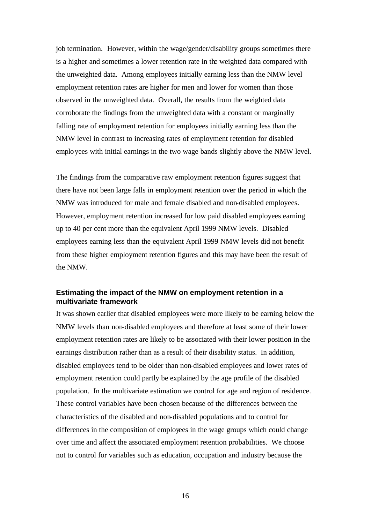job termination. However, within the wage/gender/disability groups sometimes there is a higher and sometimes a lower retention rate in the weighted data compared with the unweighted data. Among employees initially earning less than the NMW level employment retention rates are higher for men and lower for women than those observed in the unweighted data. Overall, the results from the weighted data corroborate the findings from the unweighted data with a constant or marginally falling rate of employment retention for employees initially earning less than the NMW level in contrast to increasing rates of employment retention for disabled employees with initial earnings in the two wage bands slightly above the NMW level.

The findings from the comparative raw employment retention figures suggest that there have not been large falls in employment retention over the period in which the NMW was introduced for male and female disabled and non-disabled employees. However, employment retention increased for low paid disabled employees earning up to 40 per cent more than the equivalent April 1999 NMW levels. Disabled employees earning less than the equivalent April 1999 NMW levels did not benefit from these higher employment retention figures and this may have been the result of the NMW.

## **Estimating the impact of the NMW on employment retention in a multivariate framework**

It was shown earlier that disabled employees were more likely to be earning below the NMW levels than non-disabled employees and therefore at least some of their lower employment retention rates are likely to be associated with their lower position in the earnings distribution rather than as a result of their disability status. In addition, disabled employees tend to be older than non-disabled employees and lower rates of employment retention could partly be explained by the age profile of the disabled population. In the multivariate estimation we control for age and region of residence. These control variables have been chosen because of the differences between the characteristics of the disabled and non-disabled populations and to control for differences in the composition of employees in the wage groups which could change over time and affect the associated employment retention probabilities. We choose not to control for variables such as education, occupation and industry because the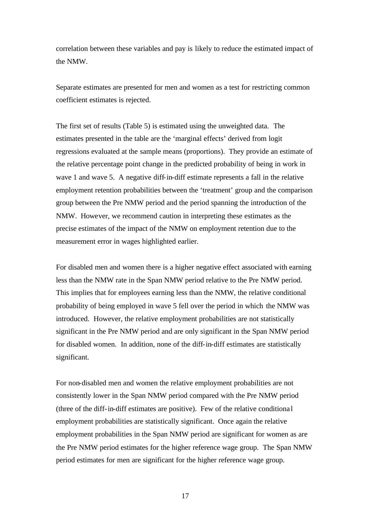correlation between these variables and pay is likely to reduce the estimated impact of the NMW.

Separate estimates are presented for men and women as a test for restricting common coefficient estimates is rejected.

The first set of results (Table 5) is estimated using the unweighted data. The estimates presented in the table are the 'marginal effects' derived from logit regressions evaluated at the sample means (proportions). They provide an estimate of the relative percentage point change in the predicted probability of being in work in wave 1 and wave 5. A negative diff-in-diff estimate represents a fall in the relative employment retention probabilities between the 'treatment' group and the comparison group between the Pre NMW period and the period spanning the introduction of the NMW. However, we recommend caution in interpreting these estimates as the precise estimates of the impact of the NMW on employment retention due to the measurement error in wages highlighted earlier.

For disabled men and women there is a higher negative effect associated with earning less than the NMW rate in the Span NMW period relative to the Pre NMW period. This implies that for employees earning less than the NMW, the relative conditional probability of being employed in wave 5 fell over the period in which the NMW was introduced. However, the relative employment probabilities are not statistically significant in the Pre NMW period and are only significant in the Span NMW period for disabled women. In addition, none of the diff-in-diff estimates are statistically significant.

For non-disabled men and women the relative employment probabilities are not consistently lower in the Span NMW period compared with the Pre NMW period (three of the diff-in-diff estimates are positive). Few of the relative conditiona l employment probabilities are statistically significant. Once again the relative employment probabilities in the Span NMW period are significant for women as are the Pre NMW period estimates for the higher reference wage group. The Span NMW period estimates for men are significant for the higher reference wage group.

17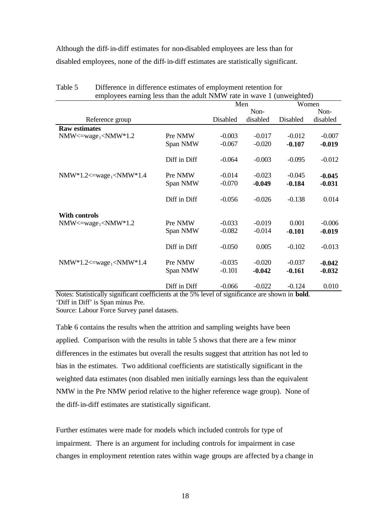Although the diff-in-diff estimates for non-disabled employees are less than for disabled employees, none of the diff-in-diff estimates are statistically significant.

| employees earning less than the adult NMW rate in wave 1 (unweighted)                                                                                                                  |              |          |          |          |          |  |
|----------------------------------------------------------------------------------------------------------------------------------------------------------------------------------------|--------------|----------|----------|----------|----------|--|
|                                                                                                                                                                                        |              | Men      |          | Women    |          |  |
|                                                                                                                                                                                        |              |          | Non-     |          | Non-     |  |
| Reference group                                                                                                                                                                        |              | Disabled | disabled | Disabled | disabled |  |
| <b>Raw estimates</b>                                                                                                                                                                   |              |          |          |          |          |  |
| $NMW \leq \text{wage}_1 \leq NMW^*1.2$                                                                                                                                                 | Pre NMW      | $-0.003$ | $-0.017$ | $-0.012$ | $-0.007$ |  |
|                                                                                                                                                                                        | Span NMW     | $-0.067$ | $-0.020$ | $-0.107$ | $-0.019$ |  |
|                                                                                                                                                                                        | Diff in Diff | $-0.064$ | $-0.003$ | $-0.095$ | $-0.012$ |  |
| NMW*1.2<=wage <sub>1</sub> <nmw*1.4< td=""><td>Pre NMW</td><td><math>-0.014</math></td><td><math>-0.023</math></td><td><math>-0.045</math></td><td><math>-0.045</math></td></nmw*1.4<> | Pre NMW      | $-0.014$ | $-0.023$ | $-0.045$ | $-0.045$ |  |
|                                                                                                                                                                                        | Span NMW     | $-0.070$ | $-0.049$ | $-0.184$ | $-0.031$ |  |
|                                                                                                                                                                                        | Diff in Diff | $-0.056$ | $-0.026$ | $-0.138$ | 0.014    |  |
| <b>With controls</b>                                                                                                                                                                   |              |          |          |          |          |  |
| $NMW \leq \text{wage}_1 \leq NMW^*1.2$                                                                                                                                                 | Pre NMW      | $-0.033$ | $-0.019$ | 0.001    | $-0.006$ |  |
|                                                                                                                                                                                        | Span NMW     | $-0.082$ | $-0.014$ | $-0.101$ | $-0.019$ |  |
|                                                                                                                                                                                        | Diff in Diff | $-0.050$ | 0.005    | $-0.102$ | $-0.013$ |  |
| NMW*1.2<=wage <sub>1</sub> <nmw*1.4< td=""><td>Pre NMW</td><td><math>-0.035</math></td><td><math>-0.020</math></td><td><math>-0.037</math></td><td><math>-0.042</math></td></nmw*1.4<> | Pre NMW      | $-0.035$ | $-0.020$ | $-0.037$ | $-0.042$ |  |
|                                                                                                                                                                                        | Span NMW     | $-0.101$ | $-0.042$ | $-0.161$ | $-0.032$ |  |
|                                                                                                                                                                                        | Diff in Diff | $-0.066$ | $-0.022$ | $-0.124$ | 0.010    |  |

| Table 5 | Difference in difference estimates of employment retention for        |
|---------|-----------------------------------------------------------------------|
|         | employees earning less than the adult NMW rate in wave 1 (unweighted) |

Notes: Statistically significant coefficients at the 5% level of significance are shown in **bold**. 'Diff in Diff' is Span minus Pre.

Source: Labour Force Survey panel datasets.

Table 6 contains the results when the attrition and sampling weights have been applied. Comparison with the results in table 5 shows that there are a few minor differences in the estimates but overall the results suggest that attrition has not led to bias in the estimates. Two additional coefficients are statistically significant in the weighted data estimates (non disabled men initially earnings less than the equivalent NMW in the Pre NMW period relative to the higher reference wage group). None of the diff-in-diff estimates are statistically significant.

Further estimates were made for models which included controls for type of impairment. There is an argument for including controls for impairment in case changes in employment retention rates within wage groups are affected by a change in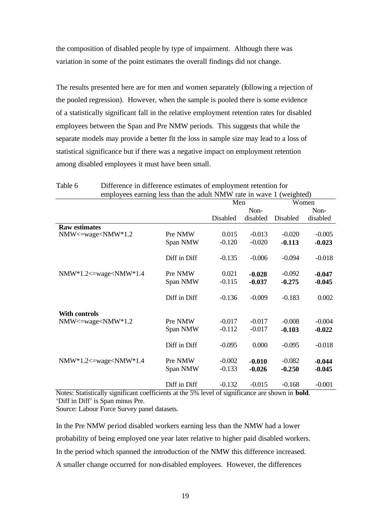the composition of disabled people by type of impairment. Although there was variation in some of the point estimates the overall findings did not change.

The results presented here are for men and women separately (following a rejection of the pooled regression). However, when the sample is pooled there is some evidence of a statistically significant fall in the relative employment retention rates for disabled employees between the Span and Pre NMW periods. This suggests that while the separate models may provide a better fit the loss in sample size may lead to a loss of statistical significance but if there was a negative impact on employment retention among disabled employees it must have been small.

| employees earning less than the adult NMW rate in wave 1 (weighted)                                                                                     |              |          |          |          |          |  |
|---------------------------------------------------------------------------------------------------------------------------------------------------------|--------------|----------|----------|----------|----------|--|
|                                                                                                                                                         |              | Men      | Women    |          |          |  |
|                                                                                                                                                         |              |          | Non-     |          | Non-     |  |
|                                                                                                                                                         |              | Disabled | disabled | Disabled | disabled |  |
| <b>Raw estimates</b>                                                                                                                                    |              |          |          |          |          |  |
| NMW<=wage <nmw*1.2< td=""><td>Pre NMW</td><td>0.015</td><td><math>-0.013</math></td><td><math>-0.020</math></td><td><math>-0.005</math></td></nmw*1.2<> | Pre NMW      | 0.015    | $-0.013$ | $-0.020$ | $-0.005$ |  |
|                                                                                                                                                         | Span NMW     | $-0.120$ | $-0.020$ | $-0.113$ | $-0.023$ |  |
|                                                                                                                                                         |              |          |          |          |          |  |
|                                                                                                                                                         | Diff in Diff | $-0.135$ | $-0.006$ | $-0.094$ | $-0.018$ |  |
|                                                                                                                                                         |              | 0.021    |          |          |          |  |
| $NMW*1.2 \leq$ -wage $\leq NMW*1.4$                                                                                                                     | Pre NMW      |          | $-0.028$ | $-0.092$ | $-0.047$ |  |
|                                                                                                                                                         | Span NMW     | $-0.115$ | $-0.037$ | $-0.275$ | $-0.045$ |  |
|                                                                                                                                                         | Diff in Diff | $-0.136$ | $-0.009$ | $-0.183$ | 0.002    |  |
|                                                                                                                                                         |              |          |          |          |          |  |
| <b>With controls</b>                                                                                                                                    |              |          |          |          |          |  |
| $NMW \leq$ wage $\leq NMW^*1.2$                                                                                                                         | Pre NMW      | $-0.017$ | $-0.017$ | $-0.008$ | $-0.004$ |  |
|                                                                                                                                                         | Span NMW     | $-0.112$ | $-0.017$ | $-0.103$ | $-0.022$ |  |
|                                                                                                                                                         |              |          |          |          |          |  |
|                                                                                                                                                         | Diff in Diff | $-0.095$ | 0.000    | $-0.095$ | $-0.018$ |  |
|                                                                                                                                                         |              |          |          |          |          |  |
| $NMW*1.2 \leq$ = wage $\leq NMW*1.4$                                                                                                                    | Pre NMW      | $-0.002$ | $-0.010$ | $-0.082$ | $-0.044$ |  |
|                                                                                                                                                         | Span NMW     | $-0.133$ | $-0.026$ | $-0.250$ | $-0.045$ |  |
|                                                                                                                                                         |              |          |          |          |          |  |
|                                                                                                                                                         | Diff in Diff | $-0.132$ | $-0.015$ | $-0.168$ | $-0.001$ |  |

Table 6 Difference in difference estimates of employment retention for

Notes: Statistically significant coefficients at the 5% level of significance are shown in **bold**. 'Diff in Diff' is Span minus Pre.

Source: Labour Force Survey panel datasets.

In the Pre NMW period disabled workers earning less than the NMW had a lower probability of being employed one year later relative to higher paid disabled workers. In the period which spanned the introduction of the NMW this difference increased. A smaller change occurred for non-disabled employees. However, the differences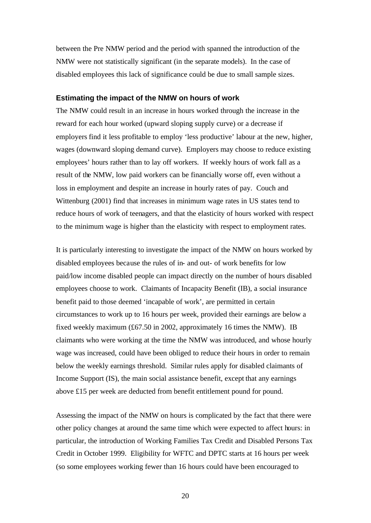between the Pre NMW period and the period with spanned the introduction of the NMW were not statistically significant (in the separate models). In the case of disabled employees this lack of significance could be due to small sample sizes.

## **Estimating the impact of the NMW on hours of work**

The NMW could result in an increase in hours worked through the increase in the reward for each hour worked (upward sloping supply curve) or a decrease if employers find it less profitable to employ 'less productive' labour at the new, higher, wages (downward sloping demand curve). Employers may choose to reduce existing employees' hours rather than to lay off workers. If weekly hours of work fall as a result of the NMW, low paid workers can be financially worse off, even without a loss in employment and despite an increase in hourly rates of pay. Couch and Wittenburg (2001) find that increases in minimum wage rates in US states tend to reduce hours of work of teenagers, and that the elasticity of hours worked with respect to the minimum wage is higher than the elasticity with respect to employment rates.

It is particularly interesting to investigate the impact of the NMW on hours worked by disabled employees because the rules of in- and out- of work benefits for low paid/low income disabled people can impact directly on the number of hours disabled employees choose to work. Claimants of Incapacity Benefit (IB), a social insurance benefit paid to those deemed 'incapable of work', are permitted in certain circumstances to work up to 16 hours per week, provided their earnings are below a fixed weekly maximum (£67.50 in 2002, approximately 16 times the NMW). IB claimants who were working at the time the NMW was introduced, and whose hourly wage was increased, could have been obliged to reduce their hours in order to remain below the weekly earnings threshold. Similar rules apply for disabled claimants of Income Support (IS), the main social assistance benefit, except that any earnings above £15 per week are deducted from benefit entitlement pound for pound.

Assessing the impact of the NMW on hours is complicated by the fact that there were other policy changes at around the same time which were expected to affect hours: in particular, the introduction of Working Families Tax Credit and Disabled Persons Tax Credit in October 1999. Eligibility for WFTC and DPTC starts at 16 hours per week (so some employees working fewer than 16 hours could have been encouraged to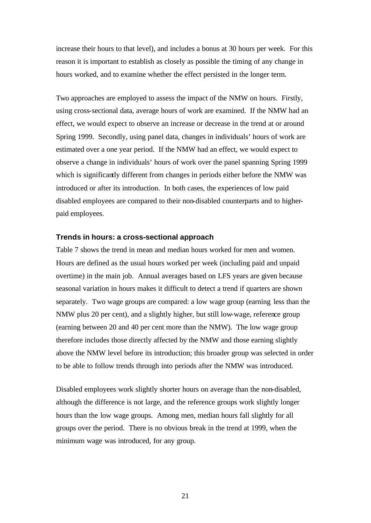increase their hours to that level), and includes a bonus at 30 hours per week. For this reason it is important to establish as closely as possible the timing of any change in hours worked, and to examine whether the effect persisted in the longer term.

Two approaches are employed to assess the impact of the NMW on hours. Firstly, using cross-sectional data, average hours of work are examined. If the NMW had an effect, we would expect to observe an increase or decrease in the trend at or around Spring 1999. Secondly, using panel data, changes in individuals' hours of work are estimated over a one year period. If the NMW had an effect, we would expect to observe a change in individuals' hours of work over the panel spanning Spring 1999 which is significantly different from changes in periods either before the NMW was introduced or after its introduction. In both cases, the experiences of low paid disabled employees are compared to their non-disabled counterparts and to higherpaid employees.

#### **Trends in hours: a cross-sectional approach**

Table 7 shows the trend in mean and median hours worked for men and women. Hours are defined as the usual hours worked per week (including paid and unpaid overtime) in the main job. Annual averages based on LFS years are given because seasonal variation in hours makes it difficult to detect a trend if quarters are shown separately. Two wage groups are compared: a low wage group (earning less than the NMW plus 20 per cent), and a slightly higher, but still low-wage, reference group (earning between 20 and 40 per cent more than the NMW). The low wage group therefore includes those directly affected by the NMW and those earning slightly above the NMW level before its introduction; this broader group was selected in order to be able to follow trends through into periods after the NMW was introduced.

Disabled employees work slightly shorter hours on average than the non-disabled, although the difference is not large, and the reference groups work slightly longer hours than the low wage groups. Among men, median hours fall slightly for all groups over the period. There is no obvious break in the trend at 1999, when the minimum wage was introduced, for any group.

21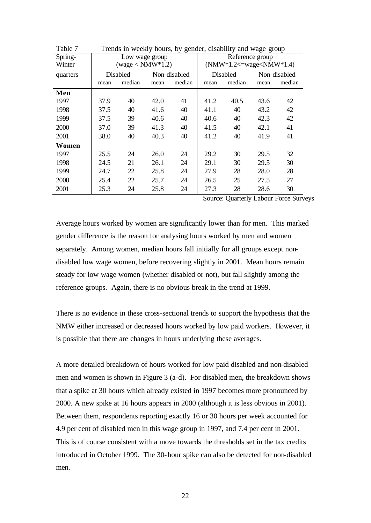| Table 7  | Trends in weekly hours, by gender, disability and wage group |                    |      |              |          |                                            |              |        |  |  |
|----------|--------------------------------------------------------------|--------------------|------|--------------|----------|--------------------------------------------|--------------|--------|--|--|
| Spring-  |                                                              | Low wage group     |      |              |          | Reference group                            |              |        |  |  |
| Winter   |                                                              | $(wage < NMW*1.2)$ |      |              |          | $(NMW*1.2 \leq= \text{wage} \leq NMW*1.4)$ |              |        |  |  |
| quarters |                                                              | Disabled           |      | Non-disabled | Disabled |                                            | Non-disabled |        |  |  |
|          | mean                                                         | median             | mean | median       | mean     | median                                     | mean         | median |  |  |
| Men      |                                                              |                    |      |              |          |                                            |              |        |  |  |
| 1997     | 37.9                                                         | 40                 | 42.0 | 41           | 41.2     | 40.5                                       | 43.6         | 42     |  |  |
| 1998     | 37.5                                                         | 40                 | 41.6 | 40           | 41.1     | 40                                         | 43.2         | 42     |  |  |
| 1999     | 37.5                                                         | 39                 | 40.6 | 40           | 40.6     | 40                                         | 42.3         | 42     |  |  |
| 2000     | 37.0                                                         | 39                 | 41.3 | 40           | 41.5     | 40                                         | 42.1         | 41     |  |  |
| 2001     | 38.0                                                         | 40                 | 40.3 | 40           | 41.2     | 40                                         | 41.9         | 41     |  |  |
| Women    |                                                              |                    |      |              |          |                                            |              |        |  |  |
| 1997     | 25.5                                                         | 24                 | 26.0 | 24           | 29.2     | 30                                         | 29.5         | 32     |  |  |
| 1998     | 24.5                                                         | 21                 | 26.1 | 24           | 29.1     | 30                                         | 29.5         | 30     |  |  |
| 1999     | 24.7                                                         | 22                 | 25.8 | 24           | 27.9     | 28                                         | 28.0         | 28     |  |  |
| 2000     | 25.4                                                         | 22                 | 25.7 | 24           | 26.5     | 25                                         | 27.5         | 27     |  |  |
| 2001     | 25.3                                                         | 24                 | 25.8 | 24           | 27.3     | 28                                         | 28.6         | 30     |  |  |

Source: Quarterly Labour Force Surveys

Average hours worked by women are significantly lower than for men. This marked gender difference is the reason for analysing hours worked by men and women separately. Among women, median hours fall initially for all groups except nondisabled low wage women, before recovering slightly in 2001. Mean hours remain steady for low wage women (whether disabled or not), but fall slightly among the reference groups. Again, there is no obvious break in the trend at 1999.

There is no evidence in these cross-sectional trends to support the hypothesis that the NMW either increased or decreased hours worked by low paid workers. However, it is possible that there are changes in hours underlying these averages.

A more detailed breakdown of hours worked for low paid disabled and non-disabled men and women is shown in Figure 3 (a-d). For disabled men, the breakdown shows that a spike at 30 hours which already existed in 1997 becomes more pronounced by 2000. A new spike at 16 hours appears in 2000 (although it is less obvious in 2001). Between them, respondents reporting exactly 16 or 30 hours per week accounted for 4.9 per cent of disabled men in this wage group in 1997, and 7.4 per cent in 2001. This is of course consistent with a move towards the thresholds set in the tax credits introduced in October 1999. The 30-hour spike can also be detected for non-disabled men.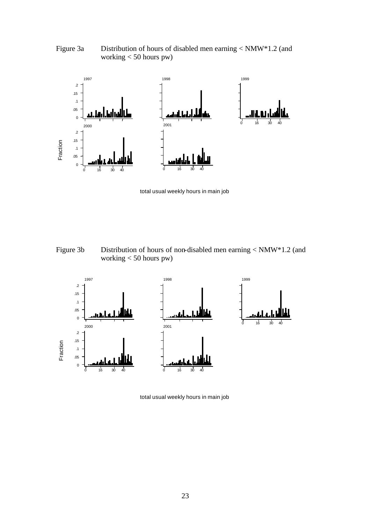Figure 3a Distribution of hours of disabled men earning < NMW\*1.2 (and working < 50 hours pw)



total usual weekly hours in main job

Figure 3b Distribution of hours of non-disabled men earning < NMW\*1.2 (and working < 50 hours pw)



total usual weekly hours in main job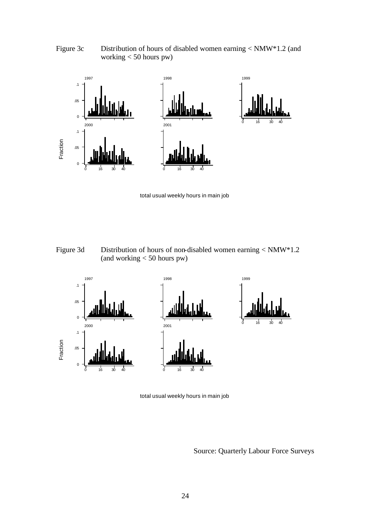Figure 3c Distribution of hours of disabled women earning < NMW\*1.2 (and working < 50 hours pw)



total usual weekly hours in main job

Figure 3d Distribution of hours of non-disabled women earning < NMW\*1.2 (and working < 50 hours pw)



total usual weekly hours in main job

Source: Quarterly Labour Force Surveys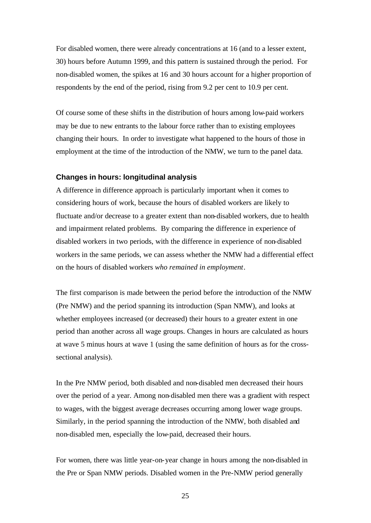For disabled women, there were already concentrations at 16 (and to a lesser extent, 30) hours before Autumn 1999, and this pattern is sustained through the period. For non-disabled women, the spikes at 16 and 30 hours account for a higher proportion of respondents by the end of the period, rising from 9.2 per cent to 10.9 per cent.

Of course some of these shifts in the distribution of hours among low-paid workers may be due to new entrants to the labour force rather than to existing employees changing their hours. In order to investigate what happened to the hours of those in employment at the time of the introduction of the NMW, we turn to the panel data.

## **Changes in hours: longitudinal analysis**

A difference in difference approach is particularly important when it comes to considering hours of work, because the hours of disabled workers are likely to fluctuate and/or decrease to a greater extent than non-disabled workers, due to health and impairment related problems. By comparing the difference in experience of disabled workers in two periods, with the difference in experience of non-disabled workers in the same periods, we can assess whether the NMW had a differential effect on the hours of disabled workers *who remained in employment*.

The first comparison is made between the period before the introduction of the NMW (Pre NMW) and the period spanning its introduction (Span NMW), and looks at whether employees increased (or decreased) their hours to a greater extent in one period than another across all wage groups. Changes in hours are calculated as hours at wave 5 minus hours at wave 1 (using the same definition of hours as for the crosssectional analysis).

In the Pre NMW period, both disabled and non-disabled men decreased their hours over the period of a year. Among non-disabled men there was a gradient with respect to wages, with the biggest average decreases occurring among lower wage groups. Similarly, in the period spanning the introduction of the NMW, both disabled and non-disabled men, especially the low-paid, decreased their hours.

For women, there was little year-on-year change in hours among the non-disabled in the Pre or Span NMW periods. Disabled women in the Pre-NMW period generally

25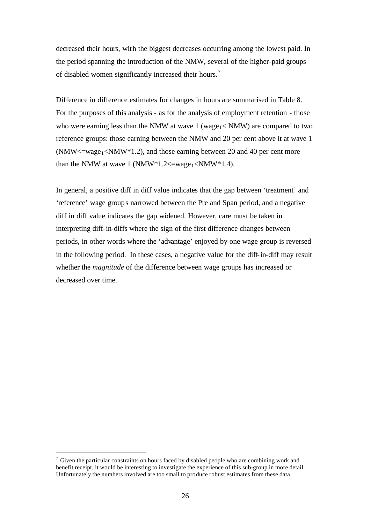decreased their hours, with the biggest decreases occurring among the lowest paid. In the period spanning the introduction of the NMW, several of the higher-paid groups of disabled women significantly increased their hours.<sup>7</sup>

Difference in difference estimates for changes in hours are summarised in Table 8. For the purposes of this analysis - as for the analysis of employment retention - those who were earning less than the NMW at wave  $1$  (wage<sub>1</sub>  $\lt$  NMW) are compared to two reference groups: those earning between the NMW and 20 per cent above it at wave 1 (NMW $\le$ =wage<sub>1</sub> $\le$ NMW $*1.2$ ), and those earning between 20 and 40 per cent more than the NMW at wave 1 (NMW $*1.2 \leq$ =wage<sub>1</sub> <NMW $*1.4$ ).

In general, a positive diff in diff value indicates that the gap between 'treatment' and 'reference' wage groups narrowed between the Pre and Span period, and a negative diff in diff value indicates the gap widened. However, care must be taken in interpreting diff-in-diffs where the sign of the first difference changes between periods, in other words where the 'advantage' enjoyed by one wage group is reversed in the following period. In these cases, a negative value for the diff-in-diff may result whether the *magnitude* of the difference between wage groups has increased or decreased over time.

l

 $\sigma$  Given the particular constraints on hours faced by disabled people who are combining work and benefit receipt, it would be interesting to investigate the experience of this sub-group in more detail. Unfortunately the numbers involved are too small to produce robust estimates from these data.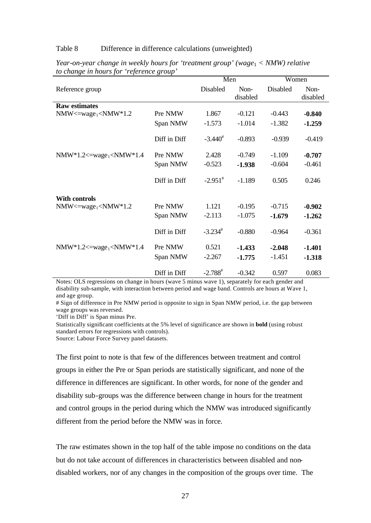## Table 8 Difference in difference calculations (unweighted)

|                                      |              | Men                   |                  | Women    |                  |
|--------------------------------------|--------------|-----------------------|------------------|----------|------------------|
| Reference group                      |              | Disabled              | Non-<br>disabled | Disabled | Non-<br>disabled |
| <b>Raw estimates</b>                 |              |                       |                  |          |                  |
| $NMW \leq wave_1 \leq NMW^*1.2$      | Pre NMW      | 1.867                 | $-0.121$         | $-0.443$ | $-0.840$         |
|                                      | Span NMW     | $-1.573$              | $-1.014$         | $-1.382$ | $-1.259$         |
|                                      | Diff in Diff | $-3.440^{\text{*}}$   | $-0.893$         | $-0.939$ | $-0.419$         |
| $NMW*1.2 \leq = wage_1 \leq NMW*1.4$ | Pre NMW      | 2.428                 | $-0.749$         | $-1.109$ | $-0.707$         |
|                                      | Span NMW     | $-0.523$              | $-1.938$         | $-0.604$ | $-0.461$         |
|                                      | Diff in Diff | $-2.951$ <sup>#</sup> | $-1.189$         | 0.505    | 0.246            |
| <b>With controls</b>                 |              |                       |                  |          |                  |
| $NMW \leq wave_1 \leq NMW^*1.2$      | Pre NMW      | 1.121                 | $-0.195$         | $-0.715$ | $-0.902$         |
|                                      | Span NMW     | $-2.113$              | $-1.075$         | $-1.679$ | $-1.262$         |
|                                      | Diff in Diff | $-3.234$ <sup>#</sup> | $-0.880$         | $-0.964$ | $-0.361$         |
| $NMW*1.2 \leq = wage_1 \leq NMW*1.4$ | Pre NMW      | 0.521                 | $-1.433$         | $-2.048$ | $-1.401$         |
|                                      | Span NMW     | $-2.267$              | $-1.775$         | $-1.451$ | $-1.318$         |
|                                      | Diff in Diff | $-2.788$ <sup>#</sup> | $-0.342$         | 0.597    | 0.083            |

*Year-on-year change in weekly hours for 'treatment group' (wage*<sup>1</sup> < *NMW) relative to change in hours for 'reference group'*

Notes: OLS regressions on change in hours (wave 5 minus wave 1), separately for each gender and disability sub-sample, with interaction between period and wage band. Controls are hours at Wave 1, and age group.

# Sign of difference in Pre NMW period is opposite to sign in Span NMW period, i.e. the gap between wage groups was reversed.

'Diff in Diff' is Span minus Pre.

Statistically significant coefficients at the 5% level of significance are shown in **bold** (using robust standard errors for regressions with controls).

Source: Labour Force Survey panel datasets.

The first point to note is that few of the differences between treatment and control groups in either the Pre or Span periods are statistically significant, and none of the difference in differences are significant. In other words, for none of the gender and disability sub-groups was the difference between change in hours for the treatment and control groups in the period during which the NMW was introduced significantly different from the period before the NMW was in force.

The raw estimates shown in the top half of the table impose no conditions on the data but do not take account of differences in characteristics between disabled and nondisabled workers, nor of any changes in the composition of the groups over time. The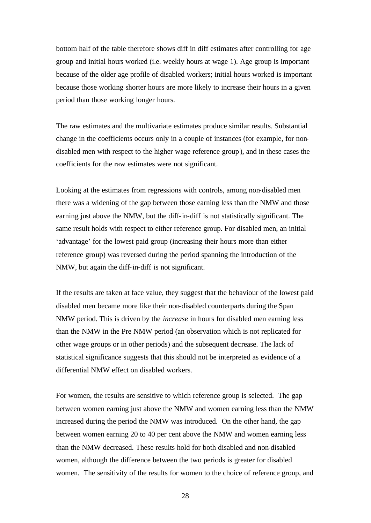bottom half of the table therefore shows diff in diff estimates after controlling for age group and initial hours worked (i.e. weekly hours at wage 1). Age group is important because of the older age profile of disabled workers; initial hours worked is important because those working shorter hours are more likely to increase their hours in a given period than those working longer hours.

The raw estimates and the multivariate estimates produce similar results. Substantial change in the coefficients occurs only in a couple of instances (for example, for nondisabled men with respect to the higher wage reference group), and in these cases the coefficients for the raw estimates were not significant.

Looking at the estimates from regressions with controls, among non-disabled men there was a widening of the gap between those earning less than the NMW and those earning just above the NMW, but the diff-in-diff is not statistically significant. The same result holds with respect to either reference group. For disabled men, an initial 'advantage' for the lowest paid group (increasing their hours more than either reference group) was reversed during the period spanning the introduction of the NMW, but again the diff-in-diff is not significant.

If the results are taken at face value, they suggest that the behaviour of the lowest paid disabled men became more like their non-disabled counterparts during the Span NMW period. This is driven by the *increase* in hours for disabled men earning less than the NMW in the Pre NMW period (an observation which is not replicated for other wage groups or in other periods) and the subsequent decrease. The lack of statistical significance suggests that this should not be interpreted as evidence of a differential NMW effect on disabled workers.

For women, the results are sensitive to which reference group is selected. The gap between women earning just above the NMW and women earning less than the NMW increased during the period the NMW was introduced. On the other hand, the gap between women earning 20 to 40 per cent above the NMW and women earning less than the NMW decreased. These results hold for both disabled and non-disabled women, although the difference between the two periods is greater for disabled women. The sensitivity of the results for women to the choice of reference group, and

28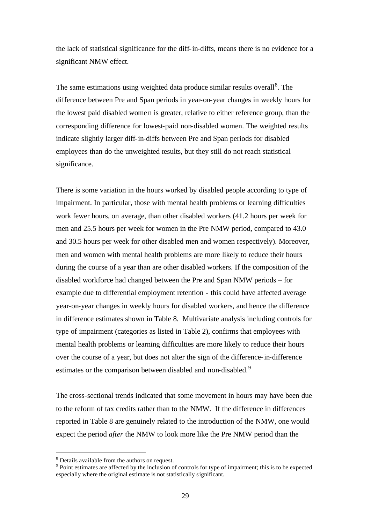the lack of statistical significance for the diff-in-diffs, means there is no evidence for a significant NMW effect.

The same estimations using weighted data produce similar results overall<sup>8</sup>. The difference between Pre and Span periods in year-on-year changes in weekly hours for the lowest paid disabled women is greater, relative to either reference group, than the corresponding difference for lowest-paid non-disabled women. The weighted results indicate slightly larger diff-in-diffs between Pre and Span periods for disabled employees than do the unweighted results, but they still do not reach statistical significance.

There is some variation in the hours worked by disabled people according to type of impairment. In particular, those with mental health problems or learning difficulties work fewer hours, on average, than other disabled workers (41.2 hours per week for men and 25.5 hours per week for women in the Pre NMW period, compared to 43.0 and 30.5 hours per week for other disabled men and women respectively). Moreover, men and women with mental health problems are more likely to reduce their hours during the course of a year than are other disabled workers. If the composition of the disabled workforce had changed between the Pre and Span NMW periods – for example due to differential employment retention - this could have affected average year-on-year changes in weekly hours for disabled workers, and hence the difference in difference estimates shown in Table 8. Multivariate analysis including controls for type of impairment (categories as listed in Table 2), confirms that employees with mental health problems or learning difficulties are more likely to reduce their hours over the course of a year, but does not alter the sign of the difference-in-difference estimates or the comparison between disabled and non-disabled.<sup>9</sup>

The cross-sectional trends indicated that some movement in hours may have been due to the reform of tax credits rather than to the NMW. If the difference in differences reported in Table 8 are genuinely related to the introduction of the NMW, one would expect the period *after* the NMW to look more like the Pre NMW period than the

l

 $8$  Details available from the authors on request.

<sup>&</sup>lt;sup>9</sup> Point estimates are affected by the inclusion of controls for type of impairment; this is to be expected especially where the original estimate is not statistically significant.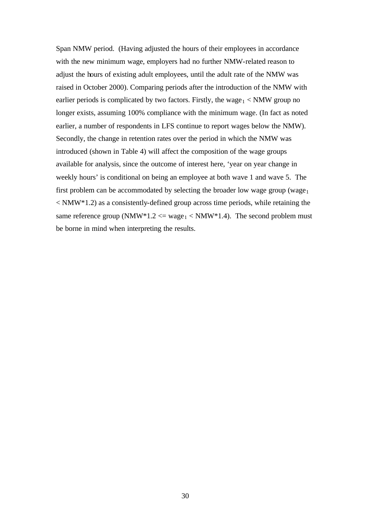Span NMW period. (Having adjusted the hours of their employees in accordance with the new minimum wage, employers had no further NMW-related reason to adjust the hours of existing adult employees, until the adult rate of the NMW was raised in October 2000). Comparing periods after the introduction of the NMW with earlier periods is complicated by two factors. Firstly, the wage $<sub>1</sub>$  < NMW group no</sub> longer exists, assuming 100% compliance with the minimum wage. (In fact as noted earlier, a number of respondents in LFS continue to report wages below the NMW). Secondly, the change in retention rates over the period in which the NMW was introduced (shown in Table 4) will affect the composition of the wage groups available for analysis, since the outcome of interest here, 'year on year change in weekly hours' is conditional on being an employee at both wave 1 and wave 5. The first problem can be accommodated by selecting the broader low wage group (wage $_1$ )  $\langle N_{\rm{MW}}(4) \rangle$  as a consistently-defined group across time periods, while retaining the same reference group (NMW\*1.2  $\leq$  wage<sub>1</sub>  $\leq$  NMW\*1.4). The second problem must be borne in mind when interpreting the results.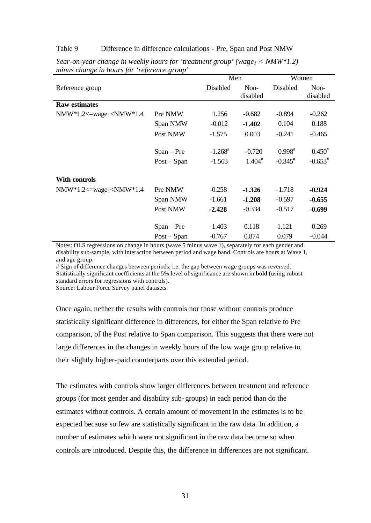#### Table 9 Difference in difference calculations - Pre, Span and Post NMW

|                                                                                                                                                                                        |               | Men                   |                      | Women       |             |
|----------------------------------------------------------------------------------------------------------------------------------------------------------------------------------------|---------------|-----------------------|----------------------|-------------|-------------|
| Reference group                                                                                                                                                                        |               | Disabled              | Non-                 | Disabled    | Non-        |
|                                                                                                                                                                                        |               |                       | disabled             |             | disabled    |
| <b>Raw estimates</b>                                                                                                                                                                   |               |                       |                      |             |             |
| NMW*1.2<=wage <sub>1</sub> <nmw*1.4< td=""><td>Pre NMW</td><td>1.256</td><td><math>-0.682</math></td><td><math>-0.894</math></td><td><math>-0.262</math></td></nmw*1.4<>               | Pre NMW       | 1.256                 | $-0.682$             | $-0.894$    | $-0.262$    |
|                                                                                                                                                                                        | Span NMW      | $-0.012$              | $-1.402$             | 0.104       | 0.188       |
|                                                                                                                                                                                        | Post NMW      | $-1.575$              | 0.003                | $-0.241$    | $-0.465$    |
|                                                                                                                                                                                        | $Span - Pre$  | $-1.268$ <sup>#</sup> | $-0.720$             | $0.998^{*}$ | $0.450^{*}$ |
|                                                                                                                                                                                        | $Post - Span$ | $-1.563$              | $1.404$ <sup>#</sup> | $-0.345^*$  | $-0.653^*$  |
| With controls                                                                                                                                                                          |               |                       |                      |             |             |
| NMW*1.2<=wage <sub>1</sub> <nmw*1.4< td=""><td>Pre NMW</td><td><math>-0.258</math></td><td><math>-1.326</math></td><td><math>-1.718</math></td><td><math>-0.924</math></td></nmw*1.4<> | Pre NMW       | $-0.258$              | $-1.326$             | $-1.718$    | $-0.924$    |
|                                                                                                                                                                                        | Span NMW      | $-1.661$              | $-1.208$             | $-0.597$    | $-0.655$    |
|                                                                                                                                                                                        | Post NMW      | $-2.428$              | $-0.334$             | $-0.517$    | $-0.699$    |
|                                                                                                                                                                                        | $Span - Pre$  | $-1.403$              | 0.118                | 1.121       | 0.269       |
|                                                                                                                                                                                        | $Post - Span$ | $-0.767$              | 0.874                | 0.079       | $-0.044$    |

*Year-on-year change in weekly hours for 'treatment group' (wage1 < NMW\*1.2) minus change in hours for 'reference group'*

Notes: OLS regressions on change in hours (wave 5 minus wave 1), separately for each gender and disability sub-sample, with interaction between period and wage band. Controls are hours at Wave 1, and age group.

# Sign of difference changes between periods, i.e. the gap between wage groups was reversed. Statistically significant coefficients at the 5% level of significance are shown in **bold** (using robust standard errors for regressions with controls).

Source: Labour Force Survey panel datasets.

Once again, neither the results with controls nor those without controls produce statistically significant difference in differences, for either the Span relative to Pre comparison, of the Post relative to Span comparison. This suggests that there were not large differences in the changes in weekly hours of the low wage group relative to their slightly higher-paid counterparts over this extended period.

The estimates with controls show larger differences between treatment and reference groups (for most gender and disability sub-groups) in each period than do the estimates without controls. A certain amount of movement in the estimates is to be expected because so few are statistically significant in the raw data. In addition, a number of estimates which were not significant in the raw data become so when controls are introduced. Despite this, the difference in differences are not significant.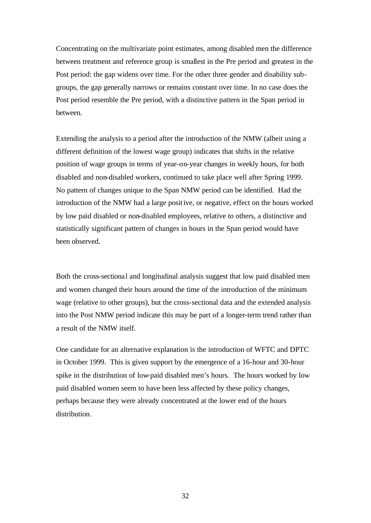Concentrating on the multivariate point estimates, among disabled men the difference between treatment and reference group is smallest in the Pre period and greatest in the Post period: the gap widens over time. For the other three gender and disability subgroups, the gap generally narrows or remains constant over time. In no case does the Post period resemble the Pre period, with a distinctive pattern in the Span period in between.

Extending the analysis to a period after the introduction of the NMW (albeit using a different definition of the lowest wage group) indicates that shifts in the relative position of wage groups in terms of year-on-year changes in weekly hours, for both disabled and non-disabled workers, continued to take place well after Spring 1999. No pattern of changes unique to the Span NMW period can be identified. Had the introduction of the NMW had a large positive, or negative, effect on the hours worked by low paid disabled or non-disabled employees, relative to others, a distinctive and statistically significant pattern of changes in hours in the Span period would have been observed.

Both the cross-sectional and longitudinal analysis suggest that low paid disabled men and women changed their hours around the time of the introduction of the minimum wage (relative to other groups), but the cross-sectional data and the extended analysis into the Post NMW period indicate this may be part of a longer-term trend rather than a result of the NMW itself.

One candidate for an alternative explanation is the introduction of WFTC and DPTC in October 1999. This is given support by the emergence of a 16-hour and 30-hour spike in the distribution of low-paid disabled men's hours. The hours worked by low paid disabled women seem to have been less affected by these policy changes, perhaps because they were already concentrated at the lower end of the hours distribution.

32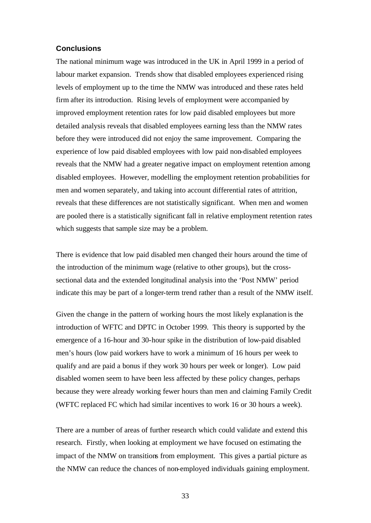## **Conclusions**

The national minimum wage was introduced in the UK in April 1999 in a period of labour market expansion. Trends show that disabled employees experienced rising levels of employment up to the time the NMW was introduced and these rates held firm after its introduction. Rising levels of employment were accompanied by improved employment retention rates for low paid disabled employees but more detailed analysis reveals that disabled employees earning less than the NMW rates before they were introduced did not enjoy the same improvement. Comparing the experience of low paid disabled employees with low paid non-disabled employees reveals that the NMW had a greater negative impact on employment retention among disabled employees. However, modelling the employment retention probabilities for men and women separately, and taking into account differential rates of attrition, reveals that these differences are not statistically significant. When men and women are pooled there is a statistically significant fall in relative employment retention rates which suggests that sample size may be a problem.

There is evidence that low paid disabled men changed their hours around the time of the introduction of the minimum wage (relative to other groups), but the crosssectional data and the extended longitudinal analysis into the 'Post NMW' period indicate this may be part of a longer-term trend rather than a result of the NMW itself.

Given the change in the pattern of working hours the most likely explanation is the introduction of WFTC and DPTC in October 1999. This theory is supported by the emergence of a 16-hour and 30-hour spike in the distribution of low-paid disabled men's hours (low paid workers have to work a minimum of 16 hours per week to qualify and are paid a bonus if they work 30 hours per week or longer). Low paid disabled women seem to have been less affected by these policy changes, perhaps because they were already working fewer hours than men and claiming Family Credit (WFTC replaced FC which had similar incentives to work 16 or 30 hours a week).

There are a number of areas of further research which could validate and extend this research. Firstly, when looking at employment we have focused on estimating the impact of the NMW on transitions from employment. This gives a partial picture as the NMW can reduce the chances of non-employed individuals gaining employment.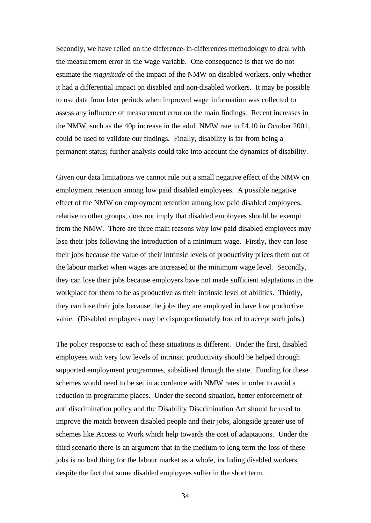Secondly, we have relied on the difference-in-differences methodology to deal with the measurement error in the wage variable. One consequence is that we do not estimate the *magnitude* of the impact of the NMW on disabled workers, only whether it had a differential impact on disabled and non-disabled workers. It may be possible to use data from later periods when improved wage information was collected to assess any influence of measurement error on the main findings. Recent increases in the NMW, such as the 40p increase in the adult NMW rate to £4.10 in October 2001, could be used to validate our findings. Finally, disability is far from being a permanent status; further analysis could take into account the dynamics of disability.

Given our data limitations we cannot rule out a small negative effect of the NMW on employment retention among low paid disabled employees. A possible negative effect of the NMW on employment retention among low paid disabled employees, relative to other groups, does not imply that disabled employees should be exempt from the NMW. There are three main reasons why low paid disabled employees may lose their jobs following the introduction of a minimum wage. Firstly, they can lose their jobs because the value of their intrinsic levels of productivity prices them out of the labour market when wages are increased to the minimum wage level. Secondly, they can lose their jobs because employers have not made sufficient adaptations in the workplace for them to be as productive as their intrinsic level of abilities. Thirdly, they can lose their jobs because the jobs they are employed in have low productive value. (Disabled employees may be disproportionately forced to accept such jobs.)

The policy response to each of these situations is different. Under the first, disabled employees with very low levels of intrinsic productivity should be helped through supported employment programmes, subsidised through the state. Funding for these schemes would need to be set in accordance with NMW rates in order to avoid a reduction in programme places. Under the second situation, better enforcement of anti discrimination policy and the Disability Discrimination Act should be used to improve the match between disabled people and their jobs, alongside greater use of schemes like Access to Work which help towards the cost of adaptations. Under the third scenario there is an argument that in the medium to long term the loss of these jobs is no bad thing for the labour market as a whole, including disabled workers, despite the fact that some disabled employees suffer in the short term.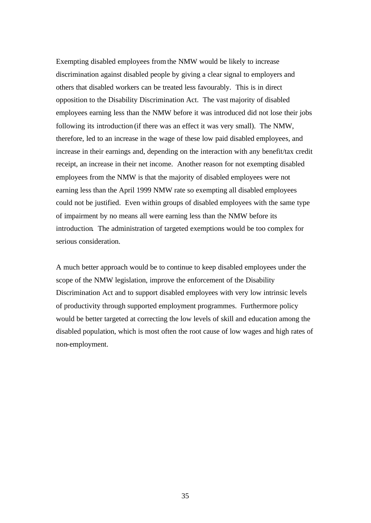Exempting disabled employees from the NMW would be likely to increase discrimination against disabled people by giving a clear signal to employers and others that disabled workers can be treated less favourably. This is in direct opposition to the Disability Discrimination Act. The vast majority of disabled employees earning less than the NMW before it was introduced did not lose their jobs following its introduction (if there was an effect it was very small). The NMW, therefore, led to an increase in the wage of these low paid disabled employees, and increase in their earnings and, depending on the interaction with any benefit/tax credit receipt, an increase in their net income. Another reason for not exempting disabled employees from the NMW is that the majority of disabled employees were not earning less than the April 1999 NMW rate so exempting all disabled employees could not be justified. Even within groups of disabled employees with the same type of impairment by no means all were earning less than the NMW before its introduction. The administration of targeted exemptions would be too complex for serious consideration.

A much better approach would be to continue to keep disabled employees under the scope of the NMW legislation, improve the enforcement of the Disability Discrimination Act and to support disabled employees with very low intrinsic levels of productivity through supported employment programmes. Furthermore policy would be better targeted at correcting the low levels of skill and education among the disabled population, which is most often the root cause of low wages and high rates of non-employment.

35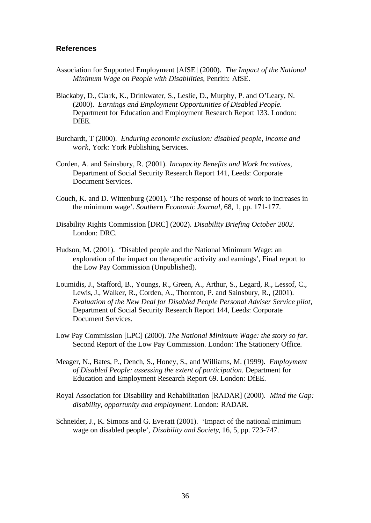## **References**

- Association for Supported Employment [AfSE] (2000). *The Impact of the National Minimum Wage on People with Disabilities,* Penrith: AfSE.
- Blackaby, D., Cla rk, K., Drinkwater, S., Leslie, D., Murphy, P. and O'Leary, N. (2000). *Earnings and Employment Opportunities of Disabled People.*  Department for Education and Employment Research Report 133. London: DfEE.
- Burchardt, T (2000). *Enduring economic exclusion: disabled people, income and work,* York: York Publishing Services.
- Corden, A. and Sainsbury, R. (2001). *Incapacity Benefits and Work Incentives,*  Department of Social Security Research Report 141, Leeds: Corporate Document Services.
- Couch, K. and D. Wittenburg (2001). 'The response of hours of work to increases in the minimum wage'. *Southern Economic Journal,* 68, 1, pp. 171-177.
- Disability Rights Commission [DRC] (2002). *Disability Briefing October 2002.*  London: DRC.
- Hudson, M. (2001). 'Disabled people and the National Minimum Wage: an exploration of the impact on therapeutic activity and earnings', Final report to the Low Pay Commission (Unpublished).
- Loumidis, J., Stafford, B., Youngs, R., Green, A., Arthur, S., Legard, R., Lessof, C., Lewis, J., Walker, R., Corden, A., Thornton, P. and Sainsbury, R., (2001). *Evaluation of the New Deal for Disabled People Personal Adviser Service pilot,*  Department of Social Security Research Report 144, Leeds: Corporate Document Services.
- Low Pay Commission [LPC] (2000). *The National Minimum Wage: the story so far.* Second Report of the Low Pay Commission. London: The Stationery Office.
- Meager, N., Bates, P., Dench, S., Honey, S., and Williams, M. (1999). *Employment of Disabled People: assessing the extent of participation.* Department for Education and Employment Research Report 69. London: DfEE.
- Royal Association for Disability and Rehabilitation [RADAR] (2000). *Mind the Gap: disability, opportunity and employment.* London: RADAR.
- Schneider, J., K. Simons and G. Eve ratt (2001). 'Impact of the national minimum wage on disabled people', *Disability and Society*, 16, 5, pp. 723-747.